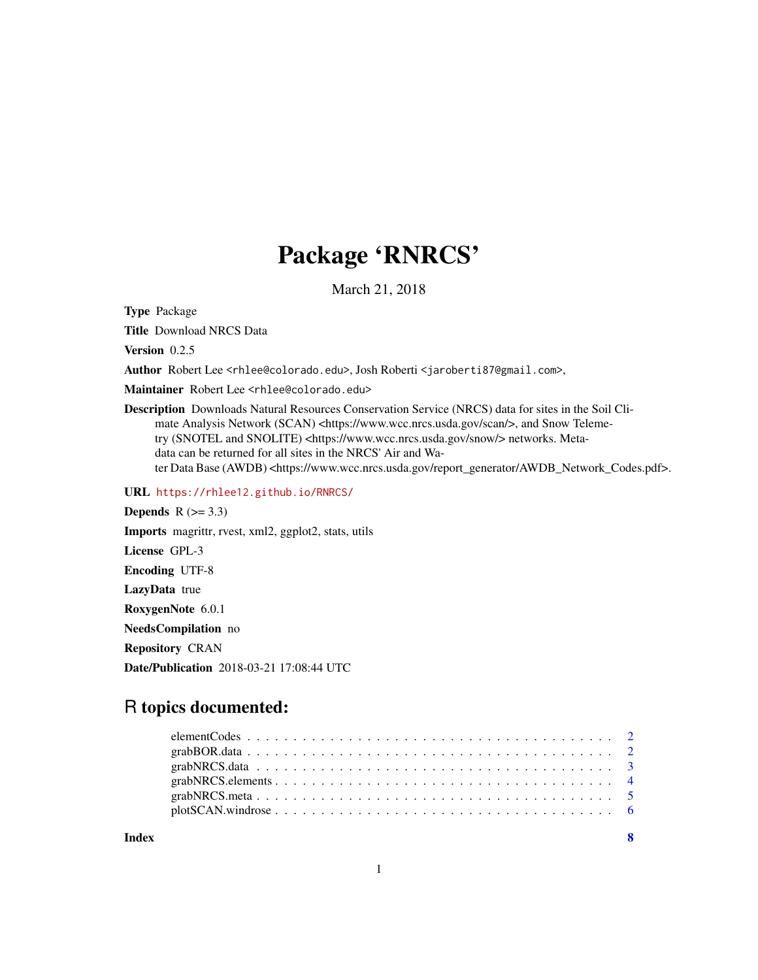## Package 'RNRCS'

March 21, 2018

Type Package

Title Download NRCS Data

Version 0.2.5

Author Robert Lee <rhlee@colorado.edu>, Josh Roberti <jaroberti87@gmail.com>,

Maintainer Robert Lee <rhlee@colorado.edu>

Description Downloads Natural Resources Conservation Service (NRCS) data for sites in the Soil Climate Analysis Network (SCAN) <https://www.wcc.nrcs.usda.gov/scan/>, and Snow Telemetry (SNOTEL and SNOLITE) <https://www.wcc.nrcs.usda.gov/snow/> networks. Metadata can be returned for all sites in the NRCS' Air and Water Data Base (AWDB) <https://www.wcc.nrcs.usda.gov/report\_generator/AWDB\_Network\_Codes.pdf>.

URL <https://rhlee12.github.io/RNRCS/>

Depends  $R$  ( $> = 3.3$ ) Imports magrittr, rvest, xml2, ggplot2, stats, utils License GPL-3 Encoding UTF-8 LazyData true RoxygenNote 6.0.1 NeedsCompilation no Repository CRAN Date/Publication 2018-03-21 17:08:44 UTC

## R topics documented:

| Index | $\overline{\mathbf{8}}$ |  |
|-------|-------------------------|--|
|       |                         |  |
|       |                         |  |
|       |                         |  |
|       |                         |  |
|       |                         |  |
|       |                         |  |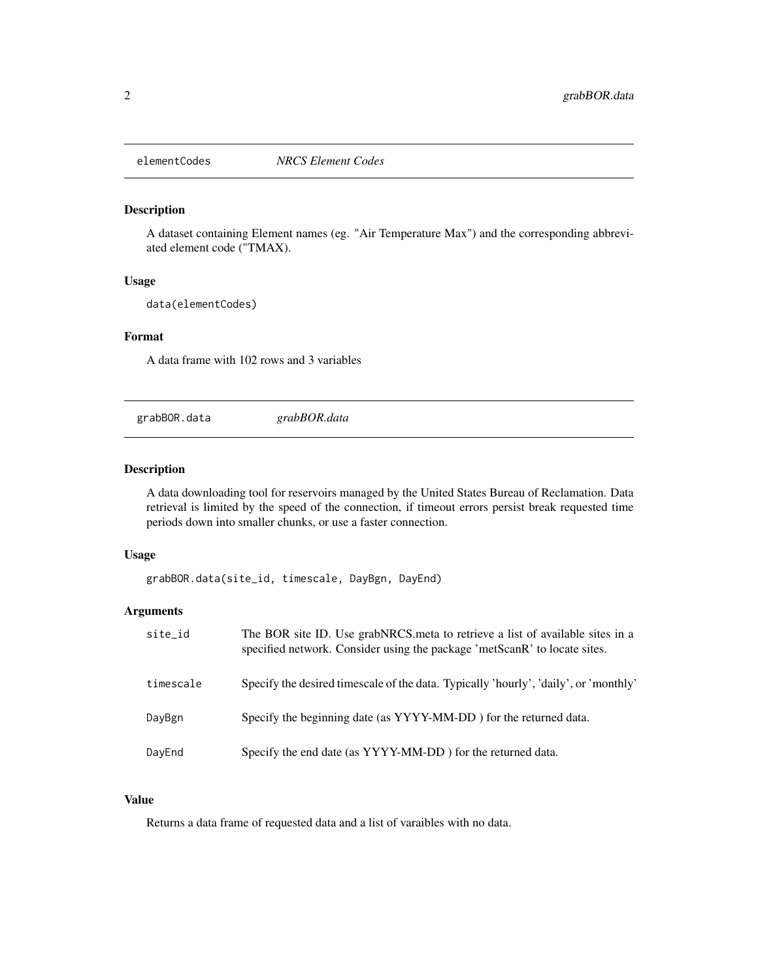<span id="page-1-0"></span>

## Description

A dataset containing Element names (eg. "Air Temperature Max") and the corresponding abbreviated element code ("TMAX).

#### Usage

data(elementCodes)

#### Format

A data frame with 102 rows and 3 variables

grabBOR.data *grabBOR.data*

## Description

A data downloading tool for reservoirs managed by the United States Bureau of Reclamation. Data retrieval is limited by the speed of the connection, if timeout errors persist break requested time periods down into smaller chunks, or use a faster connection.

#### Usage

grabBOR.data(site\_id, timescale, DayBgn, DayEnd)

## Arguments

| site_id   | The BOR site ID. Use grabNRCS meta to retrieve a list of available sites in a<br>specified network. Consider using the package 'metScanR' to locate sites. |
|-----------|------------------------------------------------------------------------------------------------------------------------------------------------------------|
| timescale | Specify the desired timescale of the data. Typically 'hourly', 'daily', or 'monthly'                                                                       |
| DayBgn    | Specify the beginning date (as YYYY-MM-DD) for the returned data.                                                                                          |
| DayEnd    | Specify the end date (as YYYY-MM-DD) for the returned data.                                                                                                |

#### Value

Returns a data frame of requested data and a list of varaibles with no data.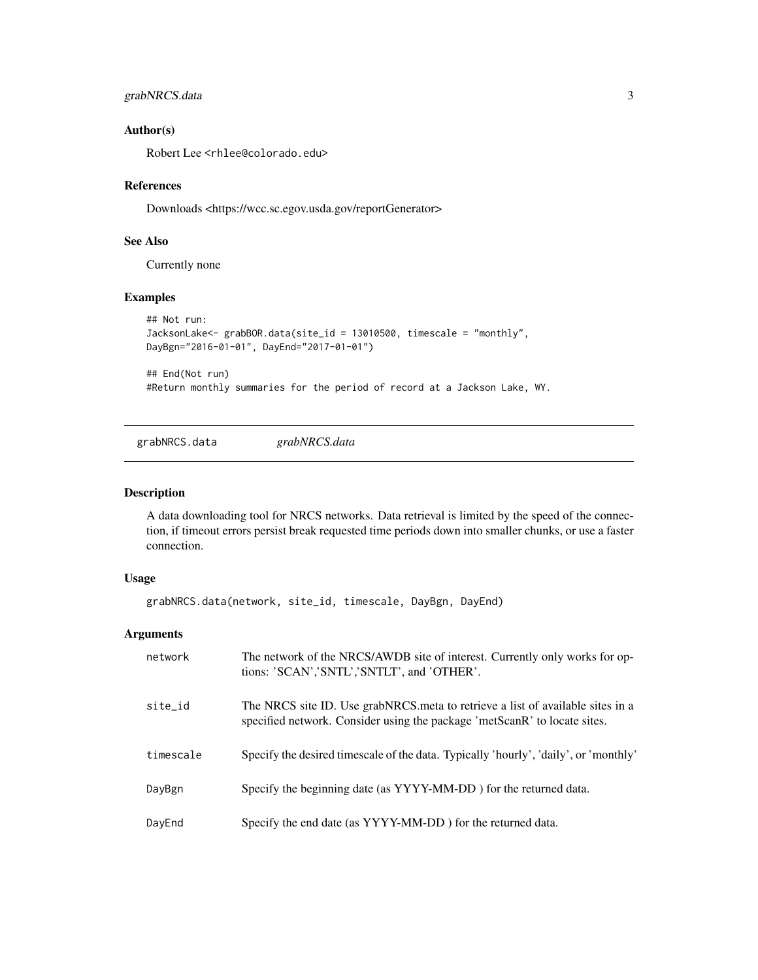```
grabNRCS.data 3
```
#### Author(s)

Robert Lee <rhlee@colorado.edu>

## References

Downloads <https://wcc.sc.egov.usda.gov/reportGenerator>

#### See Also

Currently none

#### Examples

```
## Not run:
JacksonLake<- grabBOR.data(site_id = 13010500, timescale = "monthly",
DayBgn="2016-01-01", DayEnd="2017-01-01")
```
## End(Not run) #Return monthly summaries for the period of record at a Jackson Lake, WY.

grabNRCS.data *grabNRCS.data*

#### Description

A data downloading tool for NRCS networks. Data retrieval is limited by the speed of the connection, if timeout errors persist break requested time periods down into smaller chunks, or use a faster connection.

## Usage

grabNRCS.data(network, site\_id, timescale, DayBgn, DayEnd)

## Arguments

| network   | The network of the NRCS/AWDB site of interest. Currently only works for op-<br>tions: 'SCAN','SNTL','SNTLT', and 'OTHER'.                                   |
|-----------|-------------------------------------------------------------------------------------------------------------------------------------------------------------|
| site_id   | The NRCS site ID. Use grabNRCS meta to retrieve a list of available sites in a<br>specified network. Consider using the package 'metScanR' to locate sites. |
| timescale | Specify the desired timescale of the data. Typically 'hourly', 'daily', or 'monthly'                                                                        |
| DayBgn    | Specify the beginning date (as YYYY-MM-DD) for the returned data.                                                                                           |
| DayEnd    | Specify the end date (as YYYY-MM-DD) for the returned data.                                                                                                 |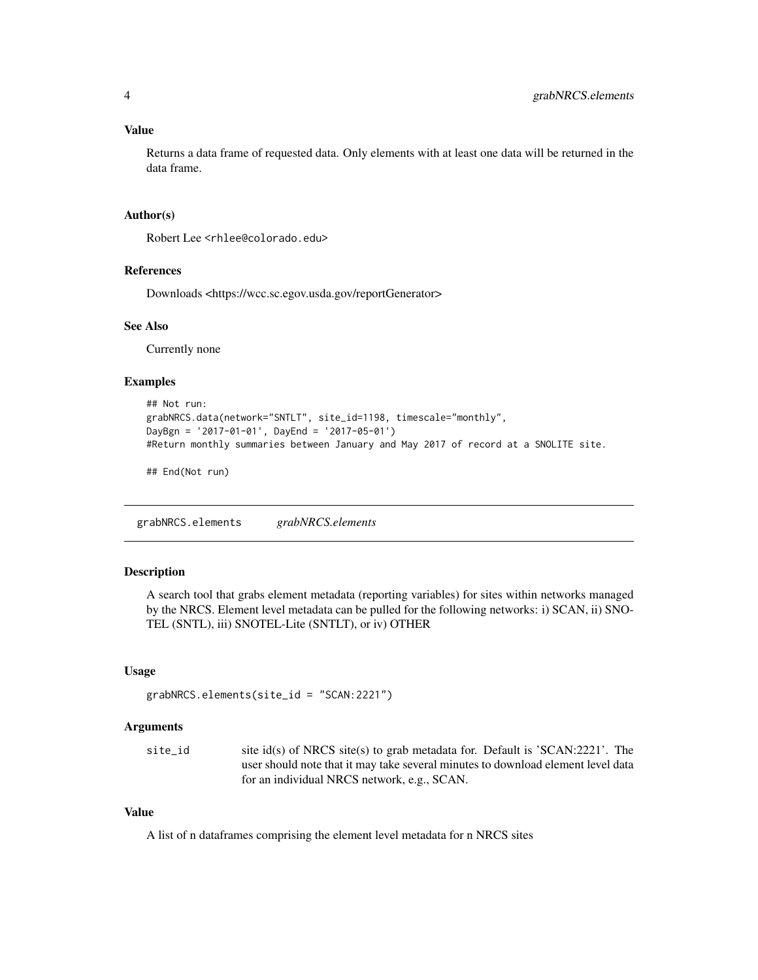#### <span id="page-3-0"></span>Value

Returns a data frame of requested data. Only elements with at least one data will be returned in the data frame.

#### Author(s)

Robert Lee <rhlee@colorado.edu>

#### References

Downloads <https://wcc.sc.egov.usda.gov/reportGenerator>

#### See Also

Currently none

## Examples

```
## Not run:
grabNRCS.data(network="SNTLT", site_id=1198, timescale="monthly",
DayBgn = '2017-01-01', DayEnd = '2017-05-01')
#Return monthly summaries between January and May 2017 of record at a SNOLITE site.
```
## End(Not run)

grabNRCS.elements *grabNRCS.elements*

## Description

A search tool that grabs element metadata (reporting variables) for sites within networks managed by the NRCS. Element level metadata can be pulled for the following networks: i) SCAN, ii) SNO-TEL (SNTL), iii) SNOTEL-Lite (SNTLT), or iv) OTHER

#### Usage

```
grabNRCS.elements(site_id = "SCAN:2221")
```
## Arguments

| site id | site id(s) of NRCS site(s) to grab metadata for. Default is $'SCAN:2221'$ . The  |
|---------|----------------------------------------------------------------------------------|
|         | user should note that it may take several minutes to download element level data |
|         | for an individual NRCS network, e.g., SCAN.                                      |

### Value

A list of n dataframes comprising the element level metadata for n NRCS sites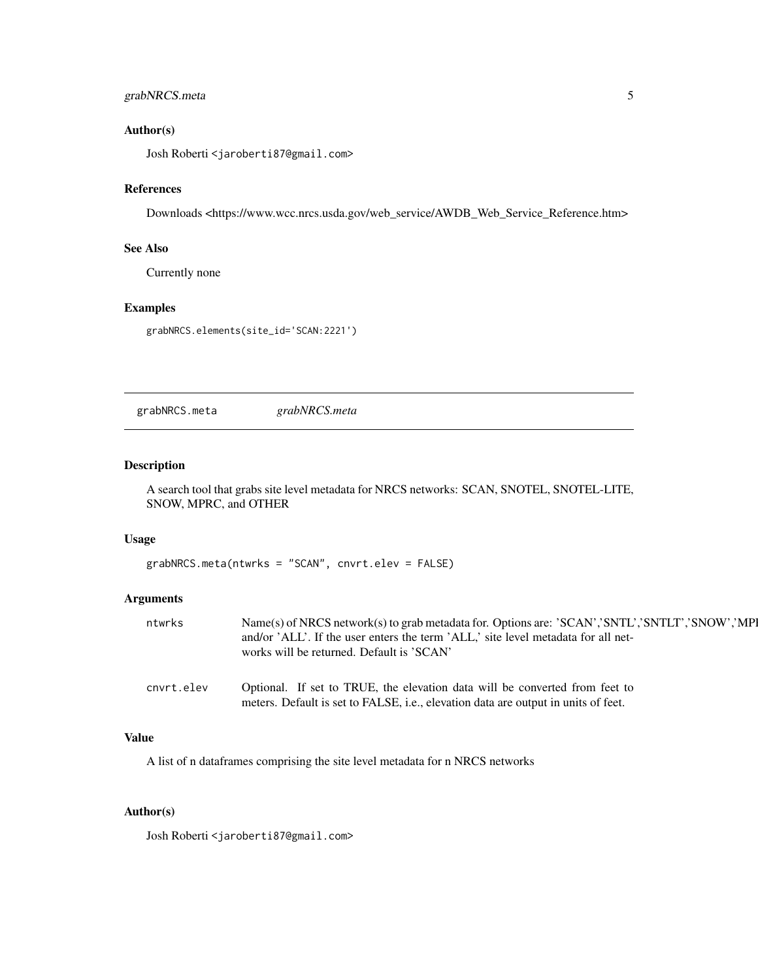## <span id="page-4-0"></span>grabNRCS.meta 5

## Author(s)

Josh Roberti <jaroberti87@gmail.com>

#### References

Downloads <https://www.wcc.nrcs.usda.gov/web\_service/AWDB\_Web\_Service\_Reference.htm>

#### See Also

Currently none

#### Examples

grabNRCS.elements(site\_id='SCAN:2221')

grabNRCS.meta *grabNRCS.meta*

#### Description

A search tool that grabs site level metadata for NRCS networks: SCAN, SNOTEL, SNOTEL-LITE, SNOW, MPRC, and OTHER

#### Usage

grabNRCS.meta(ntwrks = "SCAN", cnvrt.elev = FALSE)

## Arguments

| ntwrks     | Name(s) of NRCS network(s) to grab metadata for. Options are: 'SCAN','SNTL','SNTLT','SNOW','MP<br>and/or 'ALL'. If the user enters the term 'ALL', site level metadata for all net-<br>works will be returned. Default is 'SCAN' |
|------------|----------------------------------------------------------------------------------------------------------------------------------------------------------------------------------------------------------------------------------|
| cnvrt.elev | Optional. If set to TRUE, the elevation data will be converted from feet to<br>meters. Default is set to FALSE, i.e., elevation data are output in units of feet.                                                                |

## Value

A list of n dataframes comprising the site level metadata for n NRCS networks

### Author(s)

Josh Roberti <jaroberti87@gmail.com>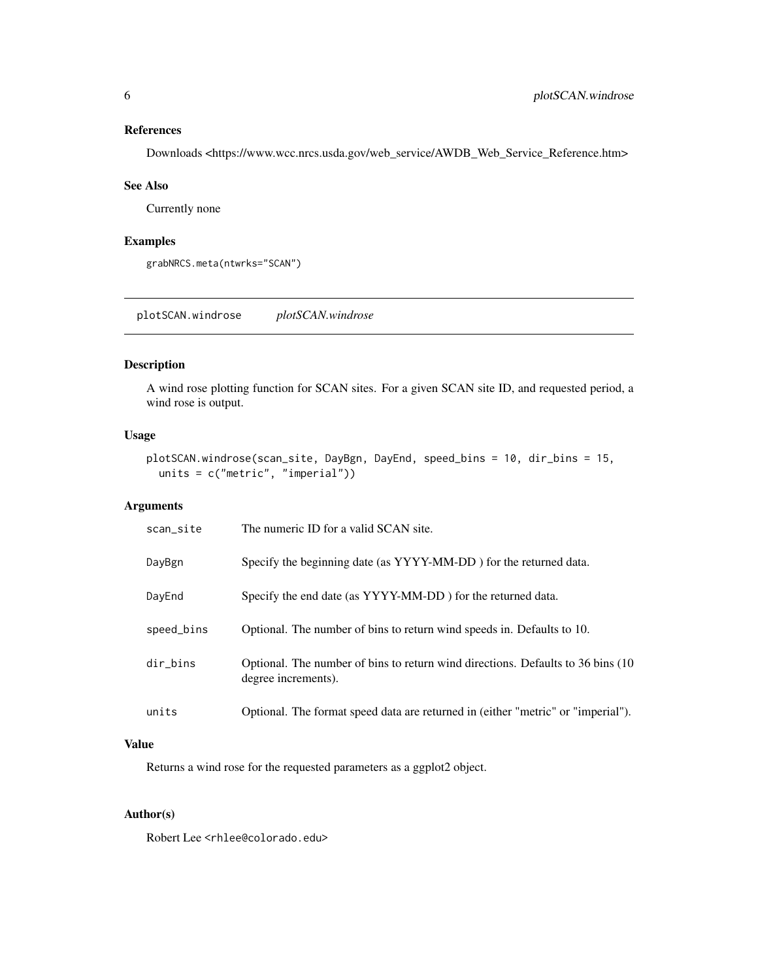#### <span id="page-5-0"></span>References

Downloads <https://www.wcc.nrcs.usda.gov/web\_service/AWDB\_Web\_Service\_Reference.htm>

#### See Also

Currently none

#### Examples

grabNRCS.meta(ntwrks="SCAN")

plotSCAN.windrose *plotSCAN.windrose*

#### Description

A wind rose plotting function for SCAN sites. For a given SCAN site ID, and requested period, a wind rose is output.

## Usage

```
plotSCAN.windrose(scan_site, DayBgn, DayEnd, speed_bins = 10, dir_bins = 15,
 units = c("metric", "imperial"))
```
### Arguments

| scan site  | The numeric ID for a valid SCAN site.                                                                   |
|------------|---------------------------------------------------------------------------------------------------------|
| DayBgn     | Specify the beginning date (as YYYY-MM-DD) for the returned data.                                       |
| DayEnd     | Specify the end date (as YYYY-MM-DD) for the returned data.                                             |
| speed_bins | Optional. The number of bins to return wind speeds in. Defaults to 10.                                  |
| dir_bins   | Optional. The number of bins to return wind directions. Defaults to 36 bins (10)<br>degree increments). |
| units      | Optional. The format speed data are returned in (either "metric" or "imperial").                        |

## Value

Returns a wind rose for the requested parameters as a ggplot2 object.

## Author(s)

Robert Lee <rhlee@colorado.edu>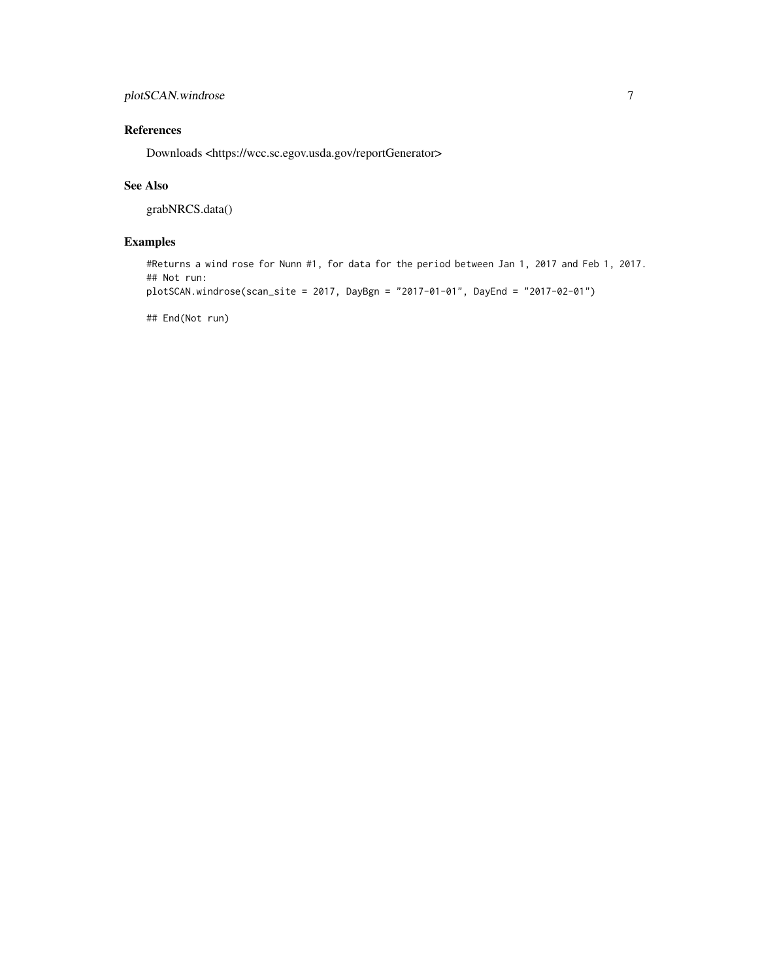## References

Downloads <https://wcc.sc.egov.usda.gov/reportGenerator>

#### See Also

grabNRCS.data()

## Examples

#Returns a wind rose for Nunn #1, for data for the period between Jan 1, 2017 and Feb 1, 2017. ## Not run:

```
plotSCAN.windrose(scan_site = 2017, DayBgn = "2017-01-01", DayEnd = "2017-02-01")
```
## End(Not run)